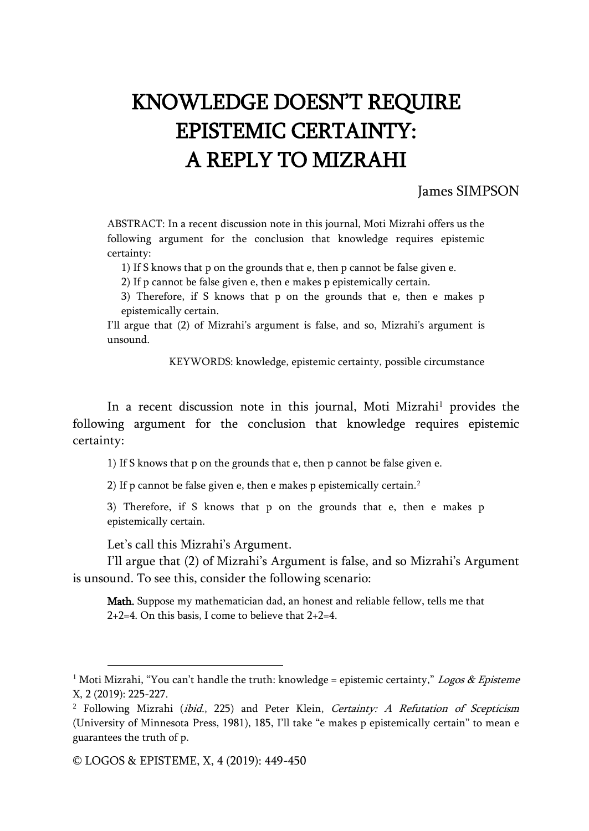## KNOWLEDGE DOESN'T REQUIRE EPISTEMIC CERTAINTY: A REPLY TO MIZRAHI

## James SIMPSON

ABSTRACT: In a recent discussion note in this journal, Moti Mizrahi offers us the following argument for the conclusion that knowledge requires epistemic certainty:

1) If S knows that p on the grounds that e, then p cannot be false given e.

2) If p cannot be false given e, then e makes p epistemically certain.

3) Therefore, if S knows that p on the grounds that e, then e makes p epistemically certain.

I'll argue that (2) of Mizrahi's argument is false, and so, Mizrahi's argument is unsound.

KEYWORDS: knowledge, epistemic certainty, possible circumstance

In a recent discussion note in this journal, Moti Mizrahi<sup>1</sup> provides the following argument for the conclusion that knowledge requires epistemic certainty:

1) If S knows that p on the grounds that e, then p cannot be false given e.

2) If p cannot be false given e, then e makes p epistemically certain.<sup>2</sup>

3) Therefore, if S knows that p on the grounds that e, then e makes p epistemically certain.

Let's call this Mizrahi's Argument.

I'll argue that (2) of Mizrahi's Argument is false, and so Mizrahi's Argument is unsound. To see this, consider the following scenario:

Math. Suppose my mathematician dad, an honest and reliable fellow, tells me that  $2+2=4$ . On this basis, I come to believe that  $2+2=4$ .

 $\overline{a}$ 

<sup>&</sup>lt;sup>1</sup> Moti Mizrahi, "You can't handle the truth: knowledge = epistemic certainty," Logos & Episteme X, 2 (2019): 225-227.

 $2$  Following Mizrahi (ibid., 225) and Peter Klein, Certainty: A Refutation of Scepticism (University of Minnesota Press, 1981), 185, I'll take "e makes p epistemically certain" to mean e guarantees the truth of p.